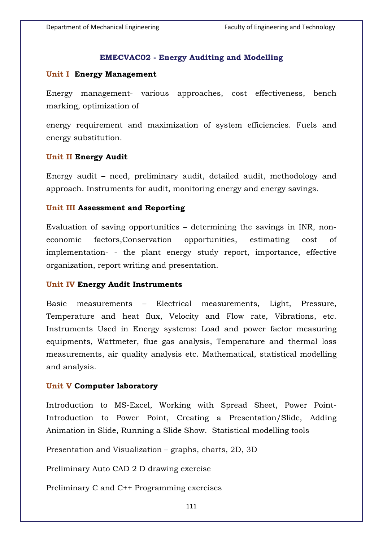# **EMECVAC02 - Energy Auditing and Modelling**

### **Unit I Energy Management**

Energy management- various approaches, cost effectiveness, bench marking, optimization of

energy requirement and maximization of system efficiencies. Fuels and energy substitution.

### **Unit II Energy Audit**

Energy audit – need, preliminary audit, detailed audit, methodology and approach. Instruments for audit, monitoring energy and energy savings.

### **Unit III Assessment and Reporting**

Evaluation of saving opportunities – determining the savings in INR, noneconomic factors,Conservation opportunities, estimating cost of implementation- - the plant energy study report, importance, effective organization, report writing and presentation.

## **Unit IV Energy Audit Instruments**

Basic measurements – Electrical measurements, Light, Pressure, Temperature and heat flux, Velocity and Flow rate, Vibrations, etc. Instruments Used in Energy systems: Load and power factor measuring equipments, Wattmeter, flue gas analysis, Temperature and thermal loss measurements, air quality analysis etc. Mathematical, statistical modelling and analysis.

# **Unit V Computer laboratory**

Introduction to MS-Excel, Working with Spread Sheet, Power Point-Introduction to Power Point, Creating a Presentation/Slide, Adding Animation in Slide, Running a Slide Show. Statistical modelling tools

Presentation and Visualization – graphs, charts, 2D, 3D

Preliminary Auto CAD 2 D drawing exercise

Preliminary C and C++ Programming exercises